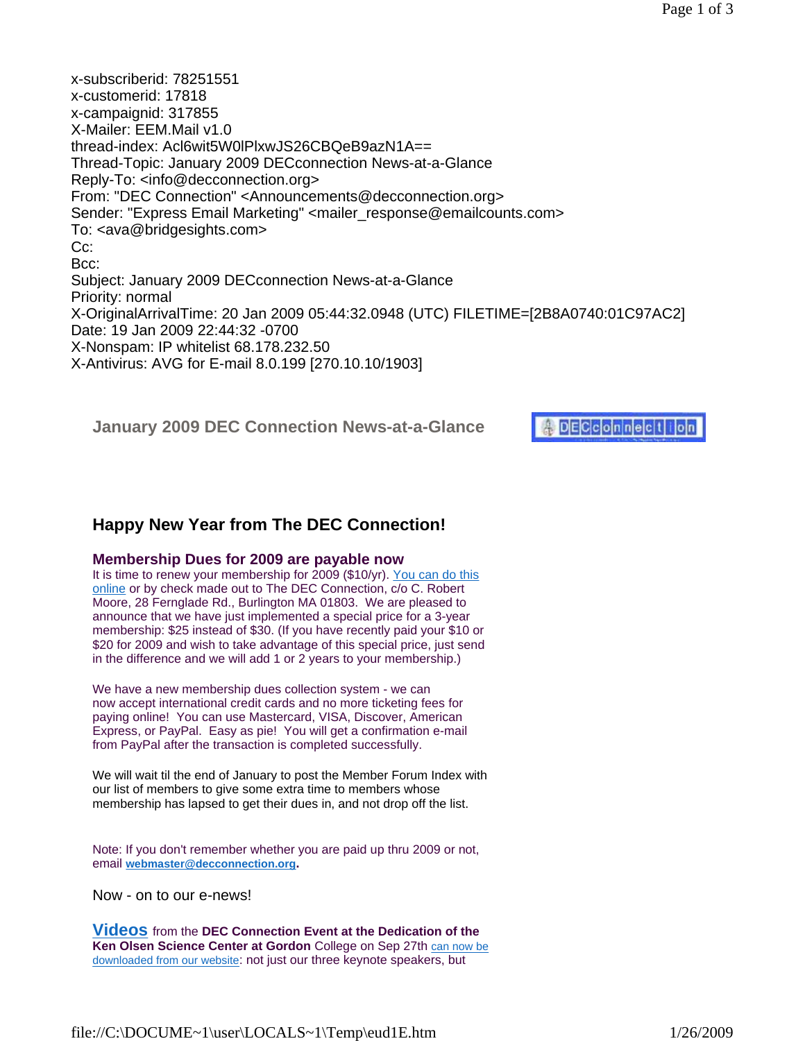### **Happy New Year from The DEC Connection!**

#### **Membership Dues for 2009 are payable now**

It is time to renew your membership for 2009 (\$10/yr). You can do this online or by check made out to The DEC Connection, c/o C. Robert Moore, 28 Fernglade Rd., Burlington MA 01803. We are pleased to announce that we have just implemented a special price for a 3-year membership: \$25 instead of \$30. (If you have recently paid your \$10 or \$20 for 2009 and wish to take advantage of this special price, just send in the difference and we will add 1 or 2 years to your membership.)

We have a new membership dues collection system - we can now accept international credit cards and no more ticketing fees for paying online! You can use Mastercard, VISA, Discover, American Express, or PayPal. Easy as pie! You will get a confirmation e-mail from PayPal after the transaction is completed successfully.

We will wait til the end of January to post the Member Forum Index with our list of members to give some extra time to members whose membership has lapsed to get their dues in, and not drop off the list.

Note: If you don't remember whether you are paid up thru 2009 or not, email **webmaster@decconnection.org.**

Now - on to our e-news!

**Videos** from the **DEC Connection Event at the Dedication of the Ken Olsen Science Center at Gordon** College on Sep 27th can now be downloaded from our website: not just our three keynote speakers, but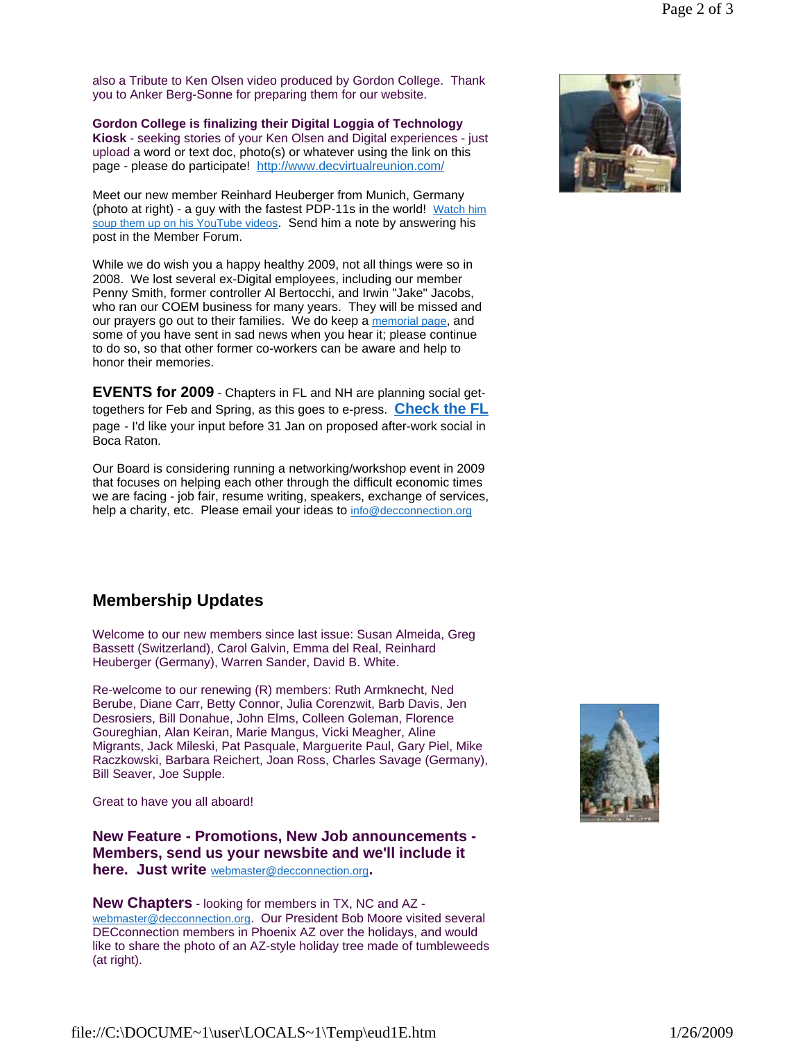**Gordon College is finalizing their Digital Loggia of Technology Kiosk** - seeking stories of your Ken Olsen and Digital experiences - just upload a word or text doc, photo(s) or whatever using the link on this

page - please do participate! http://www.decvirtualreunion.com/

Meet our new member Reinhard Heuberger from Munich, Germany (photo at right) - a guy with the fastest  $\overrightarrow{PDP}$ -11s in the world! Watch him soup them up on his YouTube videos. Send him a note by answering his post in the Member Forum.

While we do wish you a happy healthy 2009, not all things were so in 2008. We lost several ex-Digital employees, including our member Penny Smith, former controller Al Bertocchi, and Irwin "Jake" Jacobs, who ran our COEM business for many years. They will be missed and our prayers go out to their families. We do keep a memorial page, and some of you have sent in sad news when you hear it; please continue to do so, so that other former co-workers can be aware and help to honor their memories.

**EVENTS for 2009** - Chapters in FL and NH are planning social gettogethers for Feb and Spring, as this goes to e-press. **Check the FL** page - I'd like your input before 31 Jan on proposed after-work social in Boca Raton.

Our Board is considering running a networking/workshop event in 2009 that focuses on helping each other through the difficult economic times we are facing - job fair, resume writing, speakers, exchange of services, help a charity, etc. Please email your ideas to info@decconnection.org



Welcome to our new members since last issue: Susan Almeida, Greg Bassett (Switzerland), Carol Galvin, Emma del Real, Reinhard Heuberger (Germany), Warren Sander, David B. White.

Re-welcome to our renewing (R) members: Ruth Armknecht, Ned Berube, Diane Carr, Betty Connor, Julia Corenzwit, Barb Davis, Jen Desrosiers, Bill Donahue, John Elms, Colleen Goleman, Florence Goureghian, Alan Keiran, Marie Mangus, Vicki Meagher, Aline Migrants, Jack Mileski, Pat Pasquale, Marguerite Paul, Gary Piel, Mike Raczkowski, Barbara Reichert, Joan Ross, Charles Savage (Germany), Bill Seaver, Joe Supple.

Great to have you all aboard!

#### **New Feature - Promotions, New Job announcements - Members, send us your newsbite and we'll include it here. Just write** webmaster@decconnection.org**.**

**New Chapters** - looking for members in TX, NC and AZ webmaster@decconnection.org. Our President Bob Moore visited several DECconnection members in Phoenix AZ over the holidays, and would like to share the photo of an AZ-style holiday tree made of tumbleweeds (at right).